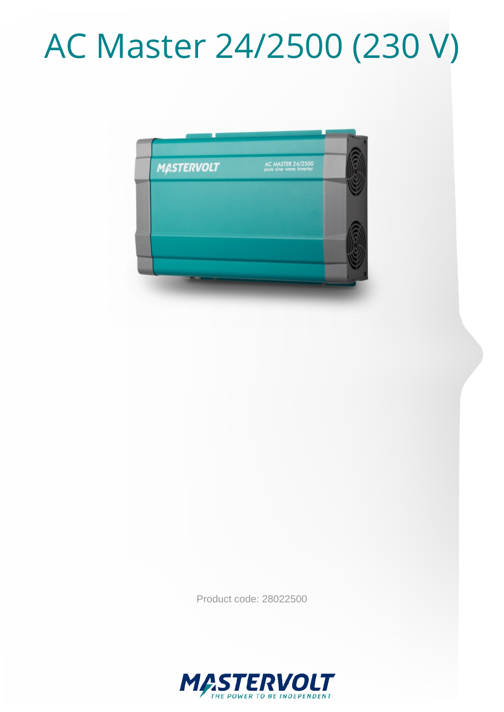# AC Master 24/2500 (230 V)



Product code: 28022500

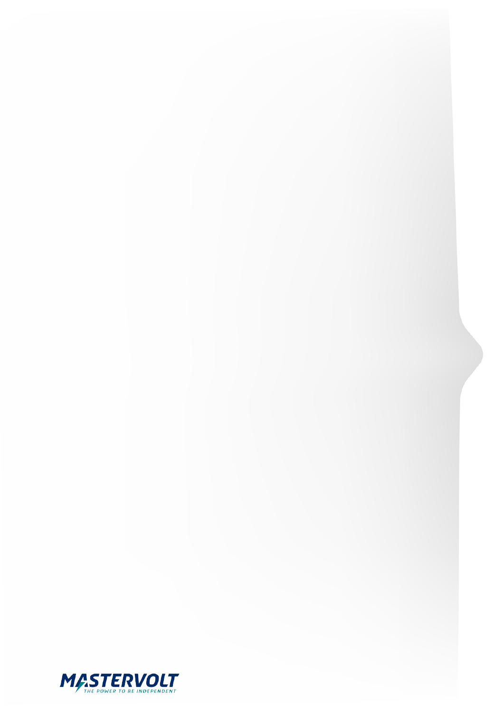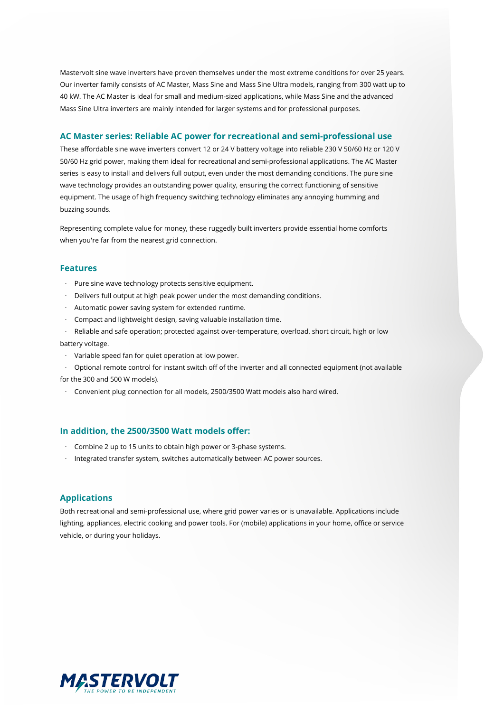Mastervolt sine wave inverters have proven themselves under the most extreme conditions for over 25 years. Our inverter family consists of AC Master, Mass Sine and Mass Sine Ultra models, ranging from 300 watt up to 40 kW. The AC Master is ideal for small and medium-sized applications, while Mass Sine and the advanced Mass Sine Ultra inverters are mainly intended for larger systems and for professional purposes.

#### **AC Master series: Reliable AC power for recreational and semi-professional use**

These affordable sine wave inverters convert 12 or 24 V battery voltage into reliable 230 V 50/60 Hz or 120 V 50/60 Hz grid power, making them ideal for recreational and semi-professional applications. The AC Master series is easy to install and delivers full output, even under the most demanding conditions. The pure sine wave technology provides an outstanding power quality, ensuring the correct functioning of sensitive equipment. The usage of high frequency switching technology eliminates any annoying humming and buzzing sounds.

Representing complete value for money, these ruggedly built inverters provide essential home comforts when you're far from the nearest grid connection.

#### **Features**

- · Pure sine wave technology protects sensitive equipment.
- · Delivers full output at high peak power under the most demanding conditions.
- · Automatic power saving system for extended runtime.
- · Compact and lightweight design, saving valuable installation time.
- Reliable and safe operation; protected against over-temperature, overload, short circuit, high or low battery voltage.
- · Variable speed fan for quiet operation at low power.
- · Optional remote control for instant switch off of the inverter and all connected equipment (not available

for the 300 and 500 W models).

· Convenient plug connection for all models, 2500/3500 Watt models also hard wired.

#### **In addition, the 2500/3500 Watt models offer:**

- · Combine 2 up to 15 units to obtain high power or 3-phase systems.
- · Integrated transfer system, switches automatically between AC power sources.

#### **Applications**

Both recreational and semi-professional use, where grid power varies or is unavailable. Applications include lighting, appliances, electric cooking and power tools. For (mobile) applications in your home, office or service vehicle, or during your holidays.